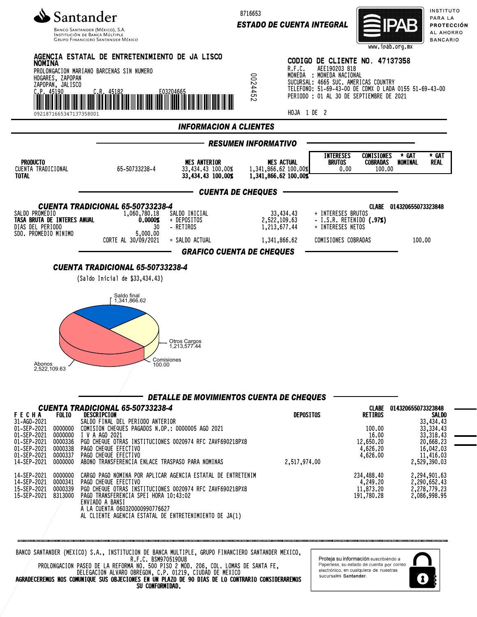

**GRUPO FINANCIERO SANTANDER MÉXICO** 

8716653

*ESTADO DE CUENTA INTEGRAL*



INSTITUTO PARA LA PROTECCIÓN AL AHORRO **BANCARIO** 



BANCO SANTANDER (MEXICO) S.A., INSTITUCION DE BANCA MULTIPLE, GRUPO FINANCIERO SANTANDER MEXICO, R.F.C. BSM970519DU8

AL CLIENTE AGENCIA ESTATAL DE ENTRETENIMIENTO DE JA(1)

ENVIADO A BANSI

A LA CUENTA 060320000990776627

PROLONGACION PASEO DE LA REFORMA NO. 500 PISO 2 MOD. 206, COL. LOMAS DE SANTA FE, DELEGACION ALVARO OBREGON, C.P. 01219, CIUDAD DE MEXICO AGRADECEREMOS NOS COMUNIQUE SUS OBJECIONES EN UN PLAZO DE 90 DIAS DE LO CONTRARIO CONSIDERAREMOS SU CONFORMIDAD.

Proteja su información suscribiéndo a Paperless, su estado de cuenta por correo electrónico, en cualquiera de nuestras sucursales Santander

1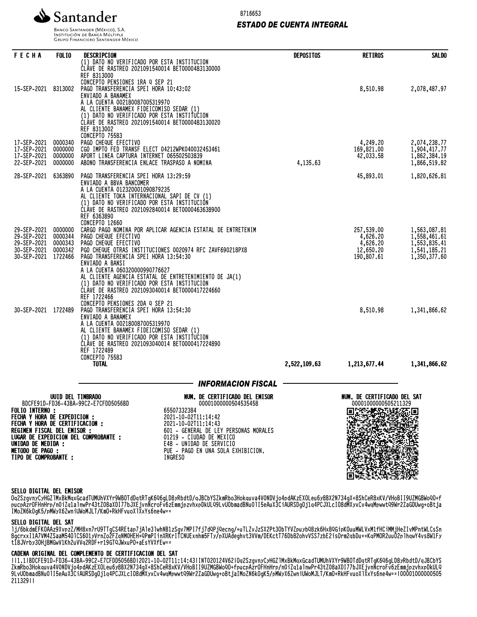

# *ESTADO DE CUENTA INTEGRAL*



**INSTITUCIÓN DE BANCA MÚLTIPLE**<br>INSTITUCIÓN DE BANCA MÚLTIPLE<br>GRUPO FINANCIERO SANTANDER MÉXICO

| <b>FECHA</b>                                                                                                                                                                                      | <b>FOLIO</b>                                        | DESCRIPCION                                                                                                                                                                                                                                                                                                                                                                                                   | <b>DEPOSITOS</b> | <b>RETIROS</b>                                                | <b>SALDO</b>                                                                 |
|---------------------------------------------------------------------------------------------------------------------------------------------------------------------------------------------------|-----------------------------------------------------|---------------------------------------------------------------------------------------------------------------------------------------------------------------------------------------------------------------------------------------------------------------------------------------------------------------------------------------------------------------------------------------------------------------|------------------|---------------------------------------------------------------|------------------------------------------------------------------------------|
| 15-SEP-2021                                                                                                                                                                                       | 8313002                                             | (1) DATO NO VERIFICADO POR ESTA INSTITUCION<br>CLAVE DE RASTREO 2021091540014 BET0000483130000<br>REF 8313000<br>CONCEPTO PENSIONES 1RA Q SEP 21<br>PAGO TRANSFERENCIA SPEI HORA 10:43:02<br>ENVIADO A BANAMEX<br>A LA CUENTA 002180087005319970<br>AL CLIENTE BANAMEX FIDEICOMISO SEDAR (1)<br>(1) DATO NO VERIFICADO POR ESTA INSTITUCION<br>ČLÁVE DE RASTREO 2021091540014 BET0000483130020<br>REF 8313002 |                  | 8,510.98                                                      | 2,078,487.97                                                                 |
| 17-SEP-2021<br>17-SEP-2021<br>17-SEP-2021<br>22-SEP-2021                                                                                                                                          | 0000340<br>0000000<br>0000000<br>0000000            | CONCEPTO 75583<br>PAGO CHEQUE EFECTIVO<br>CGO IMPTO FED TRANSF ELECT 04212WPK040032453461<br>APORT LINEA CAPTURA INTERNET 065502503839<br>ABONO TRANSFERENCIA ENLACE TRASPASO A NOMINA                                                                                                                                                                                                                        | 4,135.63         | 4,249.20<br>169,821.00<br>42,033.58                           | 2,074,238.77<br>1,904,417.77<br>1,862,384.19<br>1,866,519.82                 |
| 28-SEP-2021                                                                                                                                                                                       | 6363890                                             | PAGO TRANSFERENCIA SPEI HORA 13:29:59<br>ENVIADO A BBVA BANCOMER<br>A LA CUENTA 012320001090879235<br>AL CLIENTE TOKA INTERNACIONAL SAPI DE CV (1)<br>(1) DATO NO VERIFICADO POR ESTA INSTITUCIÓN<br>CLAVE DE RASTREO 2021092840014 BET0000463638900<br>REF 6363890<br>CONCEPTO 12660                                                                                                                         |                  | 45,893.01                                                     | 1,820,626.81                                                                 |
| 29-SEP-2021<br>29-SEP-2021<br>29-SEP-2021<br>30-SEP-2021<br>30-SEP-2021                                                                                                                           | 0000000<br>0000344<br>0000343<br>0000342<br>1722466 | CARGO PAGO NOMINA POR APLICAR AGENCIA ESTATAL DE ENTRETENIM<br>PAGO CHEQUE EFECTIVO<br>PAGO CHEQUE EFECTIVO<br>PGO CHEQUE OTRAS INSTITUCIONES 0020974 RFC ZAVF690218PX8<br>PAGO TRANSFERENCIA SPEI HORA 13:54:30<br>ENVIADO A BANSI<br>A LA CUENTA 060320000990776627<br>AL CLIENTE AGENCIA ESTATAL DE ENTRETENIMIENTO DE JA(1)                                                                               |                  | 257,539.00<br>4,626.20<br>4,626.20<br>12,650.20<br>190,807.61 | 1,563,087.81<br>1,558,461.61<br>1,553,835.41<br>1,541,185.21<br>1,350,377.60 |
| 30-SEP-2021 1722489                                                                                                                                                                               |                                                     | (1) DATO NO VERIFICADO POR ESTA INSTITUCION<br>ČLÁVE DE RASTREO 2021093040014 BET0000417224660<br>REF 1722466<br>CONCEPTO PENSIONES 2DA Q SEP 21<br>PAGO TRANSFERENCIA SPEI HORA 13:54:30<br>ENVIADO A BANAMEX<br>A LA CUENTA 002180087005319970<br>AL CLIENTE BANAMEX FIDEICOMISO SEDAR (1)<br>(1) DATO NO VERIFICADO POR ESTA INSTITUCION<br>CLÁVE DE RASTREO 2021093040014 BET0000417224890                |                  | 8,510.98                                                      | 1,341,866.62                                                                 |
|                                                                                                                                                                                                   |                                                     | REF 1722489<br>CONCEPTO 75583<br><b>TOTAL</b>                                                                                                                                                                                                                                                                                                                                                                 | 2,522,109.63     | 1,213,677.44                                                  | 1,341,866.62                                                                 |
|                                                                                                                                                                                                   |                                                     |                                                                                                                                                                                                                                                                                                                                                                                                               |                  |                                                               |                                                                              |
|                                                                                                                                                                                                   |                                                     | <b>INFORMACION FISCAL</b>                                                                                                                                                                                                                                                                                                                                                                                     |                  |                                                               |                                                                              |
| <b>FOLIO INTERNO:</b><br>FECHA Y HORA DE EXPEDICION :<br>FECHA Y HORA DE CERTIFICACION :<br>REGIMEN FISCAL DEL EMISOR :<br>UNIDAD DE MEDIDA :<br><b>METODO DE PAGO :</b><br>TIPO DE COMPROBANTE : | UUID DEL TIMBRADO                                   | NUM. DE CERTIFICADO DEL EMISOR<br>BDCFE91D-FD36-43BA-99C2-E7CFDD5056BD<br>00001000000504535458<br>65507332384<br>2021-10-02T11:14:42<br>2021-10-02T11:14:43<br>601 - GENERAL DE LEY PERSONAS MORALES<br>LUGAR DE EXPEDICION DEL COMPROBANTE :<br>01219 - CIUDAD DE MEXICO<br>E48 - UNIDAD DE SERVICIO<br>PUE - PAGO EN UNA SOLA EXHIBICION.<br>INGRESO                                                        |                  | NUM. DE CERTIFICADO DEL SAT<br>00001000000505211329           |                                                                              |

# SELLO DIGITAL DEL EMISOR

Oq2SzgvnyCyHGZlMxBkMqxGcadTUMUhVXYr9WBOTdDqtRTgK6Q6gLD8yRbdtD/qJBCbYSZkmRbo3Hokquva4V0NDVjo4pdAKzEXOLeu6y8BX2N734gX+8ShCeR8xKV/VHoBII9UZMGBWoQO+f pucpAzrOFHnHrp/n0iZq1alnwPr43tZ08aXDI77bJXEjvnNcroFv6zEmmjpzvhxpDkULQ9LvUObmadBNu0lI5eAuX3CiAURSDgOj1q4PCJXLcIO8dMXyxCv4wqMpwwtQ9Wr2ZaGDUwg+oBtja IMoZN6kOgK5/pMWyX6ZwniUWoMJLT/KmO+RkHFvuoXlXxYs6ne4w==

ment te te te te te se

#### SELLO DIGITAL DEL SAT

lj/6bkdmEFKOAAz9XvpzZ/MH8xn7rU9TTgCS4REtap7jAle3lwhNB1zSgv7MPI7fj7dQPjQecng/+uTLZvJzSX2Pt3ObTYVZpuybQ8zk6Hx8QGipKOuuMWLVxM1fHCiMMjHeZIvMPntWLCsSn 8gcrxxI1A7VM4ZSaaM54OlCS601yVrnZo2FZqNM0HEH+QPmPIinXRKrITCNUExnhm5FTy/pXUAdeghvt3VVm/DEKctT76Db82ohvVSS7zbE2isOrm2qbDu++KqPMOR2uuO2plhqwY4vs8W1Fy t18JVrby3OHjBMGwV1Kh2uVVq2RDF+r19GTQJWxuPO+aEsYVXfEw==

### CADENA ORIGINAL DEL COMPLEMENTO DE CERTIFICACION DEL SAT

||1.1|BDCFE91D-FD36-43BA-99C2-E7CFDD5056BD|2021-10-02T11:14:43|INT020124V62|Oq2SzgvnyCyHGZlMxBkMqxGcadTUMUhVXYr9WBOTdDqtRTgK6Q6gLD8yRbdtD/qJBCbYS ZKMRDO3HOKQUVA4VVNUVjO4PQAKZEXULeU0Y8DXZN/34GX+8ShCeR8XKV/VHOBII9UZMGBWOQU+TPUCPAZrUFHNHrp/NU1ZQ1alNWPr43tZ08aXDI77bJXEjVNNCrOFV0ZEMMjpZVNXPDKULQ 9LvUObmadBNu0lI5eAuX3CiAURSDgOj1q4PCJXLcIO8dMXyxCv4wqMpwwtQ9Wr2ZaGDUwg+oBtjaIMoZN6kOgK5/pMWyX6ZwniUWoMJLT/KmO+RkHFvuoXlXxYs6ne4w==|00001000000505 211329||